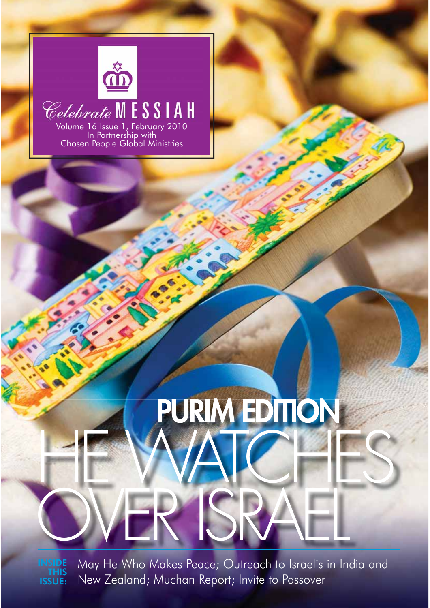

### Volume 16 Issue 1, February 2010 In Partnership with

Chosen People Global Ministries

May He Who Makes Peace; Outreach to Israelis in India and New Zealand; Muchan Report; Invite to Passover OVER ISRAEL INSIDE THIS ISSUE:

 **PURIM EDITION**

HE WATCHES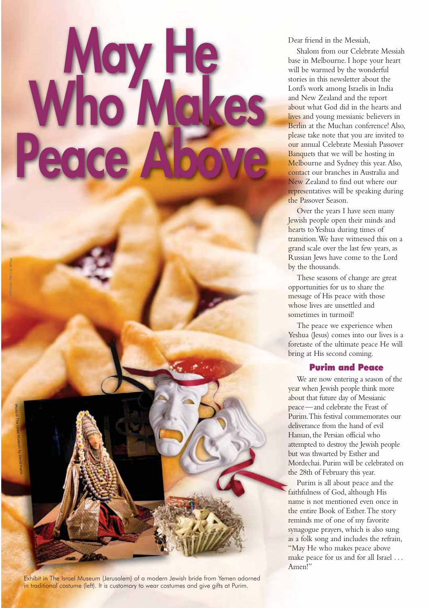# Who WHe Peace

Exhibit in The Israel Museum (Jerusalem) of a modern Jewish bride from Yemen adorned in traditional costume (left). It is customary to wear costumes and give gifts at Purim.

Dear friend in the Messiah,

Shalom from our Celebrate Messiah base in Melbourne. I hope your heart will be warmed by the wonderful stories in this newsletter about the Lord's work among Israelis in India and New Zealand and the report about what God did in the hearts and lives and young messianic believers in Berlin at the Muchan conference! Also, please take note that you are invited to our annual Celebrate Messiah Passover Banquets that we will be hosting in Melbourne and Sydney this year. Also, contact our branches in Australia and New Zealand to find out where our representatives will be speaking during the Passover Season.

Over the years I have seen many Jewish people open their minds and hearts to Yeshua during times of transition. We have witnessed this on a grand scale over the last few years, as Russian Jews have come to the Lord by the thousands.

These seasons of change are great opportunities for us to share the message of His peace with those whose lives are unsettled and sometimes in turmoil!

The peace we experience when Yeshua (Jesus) comes into our lives is a foretaste of the ultimate peace He will bring at His second coming.

#### Purim and Peace

We are now entering a season of the year when Jewish people think more about that future day of Messianic peace —and celebrate the Feast of Purim. This festival commemorates our deliverance from the hand of evil Haman, the Persian official who attempted to destroy the Jewish people but was thwarted by Esther and Mordechai. Purim will be celebrated on the 28th of February this year.

Purim is all about peace and the faithfulness of God, although His name is not mentioned even once in the entire Book of Esther. The story reminds me of one of my favorite synagogue prayers, which is also sung as a folk song and includes the refrain, "May He who makes peace above make peace for us and for all Israel ... Amen!"

Photo © Carly Hennigan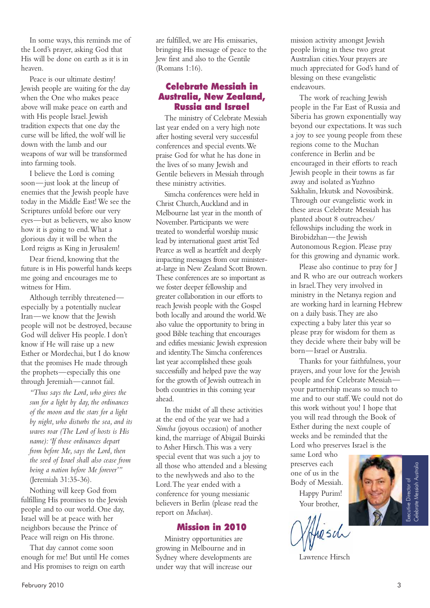In some ways, this reminds me of the Lord's prayer, asking God that His will be done on earth as it is in heaven.

Peace is our ultimate destiny! Jewish people are waiting for the day when the One who makes peace above will make peace on earth and with His people Israel. Jewish tradition expects that one day the curse will be lifted, the wolf will lie down with the lamb and our weapons of war will be transformed into farming tools.

I believe the Lord is coming soon—just look at the lineup of enemies that the Jewish people have today in the Middle East! We see the Scriptures unfold before our very eyes—but as believers, we also know how it is going to end. What a glorious day it will be when the Lord reigns as King in Jerusalem!

Dear friend, knowing that the future is in His powerful hands keeps me going and encourages me to witness for Him.

Although terribly threatened especially by a potentially nuclear Iran—we know that the Jewish people will not be destroyed, because God will deliver His people. I don't know if He will raise up a new Esther or Mordechai, but I do know that the promises He made through the prophets—especially this one through Jeremiah—cannot fail.

*"Thus says the Lord, who gives the sun for a light by day, the ordinances of the moon and the stars for a light by night, who disturbs the sea, and its waves roar (The Lord of hosts is His name): 'If those ordinances depart from before Me, says the Lord, then the seed of Israel shall also cease from being a nation before Me forever'"*  (Jeremiah 31:35-36).

Nothing will keep God from fulfilling His promises to the Jewish people and to our world. One day, Israel will be at peace with her neighbors because the Prince of Peace will reign on His throne.

That day cannot come soon enough for me! But until He comes and His promises to reign on earth

are fulfilled, we are His emissaries, bringing His message of peace to the Jew first and also to the Gentile (Romans 1:16).

### Celebrate Messiah in Australia, New Zealand, Russia and Israel

The ministry of Celebrate Messiah last year ended on a very high note after hosting several very successful conferences and special events. We praise God for what he has done in the lives of so many Jewish and Gentile believers in Messiah through these ministry activities.

Simcha conferences were held in Christ Church, Auckland and in Melbourne last year in the month of November. Participants we were treated to wonderful worship music lead by international guest artist Ted Pearce as well as heartfelt and deeply impacting messages from our ministerat-large in New Zealand Scott Brown. These conferences are so important as we foster deeper fellowship and greater collaboration in our efforts to reach Jewish people with the Gospel both locally and around the world. We also value the opportunity to bring in good Bible teaching that encourages and edifies messianic Jewish expression and identity. The Simcha conferences last year accomplished these goals successfully and helped pave the way for the growth of Jewish outreach in both countries in this coming year ahead.

In the midst of all these activities at the end of the year we had a *Simcha* (joyous occasion) of another kind, the marriage of Abigail Buirski to Asher Hirsch. This was a very special event that was such a joy to all those who attended and a blessing to the newlyweds and also to the Lord. The year ended with a conference for young messianic believers in Berlin (please read the report on *Muchan*).

#### Mission in 2010

Ministry opportunities are growing in Melbourne and in Sydney where developments are under way that will increase our mission activity amongst Jewish people living in these two great Australian cities. Your prayers are much appreciated for God's hand of blessing on these evangelistic endeavours.

The work of reaching Jewish people in the Far East of Russia and Siberia has grown exponentially way beyond our expectations. It was such a joy to see young people from these regions come to the Muchan conference in Berlin and be encouraged in their efforts to reach Jewish people in their towns as far away and isolated as Yuzhno Sakhalin, Irkutsk and Novosibirsk. Through our evangelistic work in these areas Celebrate Messiah has planted about 8 outreaches/ fellowships including the work in Birobidzhan—the Jewish Autonomous Region. Please pray for this growing and dynamic work.

Please also continue to pray for J and R who are our outreach workers in Israel. They very involved in ministry in the Netanya region and are working hard in learning Hebrew on a daily basis. They are also expecting a baby later this year so please pray for wisdom for them as they decide where their baby will be born—Israel or Australia.

Thanks for your faithfulness, your prayers, and your love for the Jewish people and for Celebrate Messiah your partnership means so much to me and to our staff. We could not do this work without you! I hope that you will read through the Book of Esther during the next couple of weeks and be reminded that the Lord who preserves Israel is the

same Lord who preserves each one of us in the Body of Messiah.

Happy Purim! Your brother,

hrsch

Lawrence Hirsch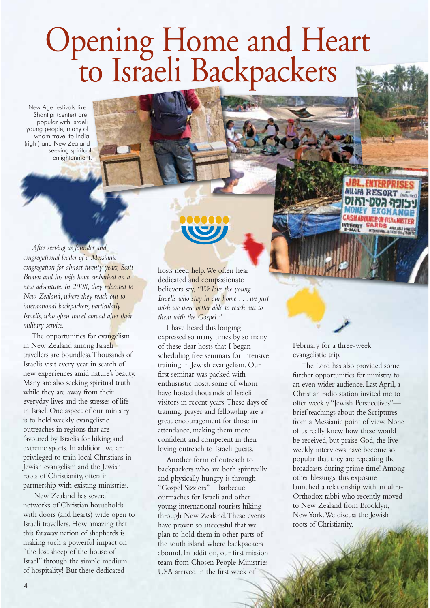# Opening Home and Heart<br>to Israeli Backpackers

New Age festivals like Shantipi (center) are popular with Israeli young people, many of whom travel to India (right) and New Zealand seeking spiritual enlightenment.

*After serving as founder and congregational leader of a Messianic congregation for almost twenty years, Scott Brown and his wife have embarked on a new adventure. In 2008, they relocated to New Zealand, where they reach out to international backpackers, particularly Israelis, who often travel abroad after their military service.* 

The opportunities for evangelism in New Zealand among Israeli travellers are boundless. Thousands of Israelis visit every year in search of new experiences amid nature's beauty. Many are also seeking spiritual truth while they are away from their everyday lives and the stresses of life in Israel. One aspect of our ministry is to hold weekly evangelistic outreaches in regions that are favoured by Israelis for hiking and extreme sports. In addition, we are privileged to train local Christians in Jewish evangelism and the Jewish roots of Christianity, often in partnership with existing ministries.

 New Zealand has several networks of Christian households with doors (and hearts) wide open to Israeli travellers. How amazing that this faraway nation of shepherds is making such a powerful impact on "the lost sheep of the house of Israel" through the simple medium of hospitality! But these dedicated

hosts need help. We often hear dedicated and compassionate believers say, *"We love the young Israelis who stay in our home . . . we just wish we were better able to reach out to them with the Gospel."* 

I have heard this longing expressed so many times by so many of these dear hosts that I began scheduling free seminars for intensive training in Jewish evangelism. Our first seminar was packed with enthusiastic hosts, some of whom have hosted thousands of Israeli visitors in recent years. These days of training, prayer and fellowship are a great encouragement for those in attendance, making them more confident and competent in their loving outreach to Israeli guests.

Another form of outreach to backpackers who are both spiritually and physically hungry is through "Gospel Sizzlers"— barbecue outreaches for Israeli and other young international tourists hiking through New Zealand. These events have proven so successful that we plan to hold them in other parts of the south island where backpackers abound. In addition, our first mission team from Chosen People Ministries USA arrived in the first week of

February for a three-week evangelistic trip.

**RDS** AVAILABLE DOMES

The Lord has also provided some further opportunities for ministry to an even wider audience. Last April, a Christian radio station invited me to offer weekly "Jewish Perspectives" brief teachings about the Scriptures from a Messianic point of view. None of us really knew how these would be received, but praise God, the live weekly interviews have become so popular that they are repeating the broadcasts during prime time! Among other blessings, this exposure launched a relationship with an ultra-Orthodox rabbi who recently moved to New Zealand from Brooklyn, New York. We discuss the Jewish roots of Christianity,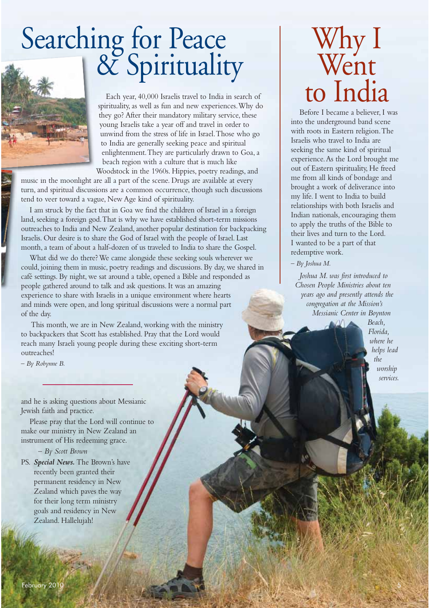# Searching for Peace<br>| & Spirituality



Each year, 40,000 Israelis travel to India in search of spirituality, as well as fun and new experiences. Why do they go? After their mandatory military service, these young Israelis take a year off and travel in order to unwind from the stress of life in Israel. Those who go to India are generally seeking peace and spiritual enlightenment. They are particularly drawn to Goa, a beach region with a culture that is much like Woodstock in the 1960s. Hippies, poetry readings, and

music in the moonlight are all a part of the scene. Drugs are available at every turn, and spiritual discussions are a common occurrence, though such discussions tend to veer toward a vague, New Age kind of spirituality.

I am struck by the fact that in Goa we find the children of Israel in a foreign land, seeking a foreign god. That is why we have established short-term missions outreaches to India and New Zealand, another popular destination for backpacking Israelis. Our desire is to share the God of Israel with the people of Israel. Last month, a team of about a half-dozen of us traveled to India to share the Gospel.

What did we do there? We came alongside these seeking souls wherever we could, joining them in music, poetry readings and discussions. By day, we shared in café settings. By night, we sat around a table, opened a Bible and responded as people gathered around to talk and ask questions. It was an amazing experience to share with Israelis in a unique environment where hearts and minds were open, and long spiritual discussions were a normal part of the day.

 This month, we are in New Zealand, working with the ministry to backpackers that Scott has established. Pray that the Lord would reach many Israeli young people during these exciting short-term outreaches!

*– By Robynne B.*

and he is asking questions about Messianic Jewish faith and practice.

Please pray that the Lord will continue to make our ministry in New Zealand an instrument of His redeeming grace.

*– By Scott Brown*

PS. *Special News.* The Brown's have recently been granted their permanent residency in New Zealand which paves the way for their long term ministry goals and residency in New Zealand. Hallelujah!

### Why I Went to India

Before I became a believer, I was into the underground band scene with roots in Eastern religion. The Israelis who travel to India are seeking the same kind of spiritual experience. As the Lord brought me out of Eastern spirituality, He freed me from all kinds of bondage and brought a work of deliverance into my life. I went to India to build relationships with both Israelis and Indian nationals, encouraging them to apply the truths of the Bible to their lives and turn to the Lord. I wanted to be a part of that redemptive work.

*– By Joshua M.* 

*Joshua M. was first introduced to Chosen People Ministries about ten years ago and presently attends the congregation at the Mission's Messianic Center in Boynton* 

> *Beach, Florida, where he helps lead the worship services.*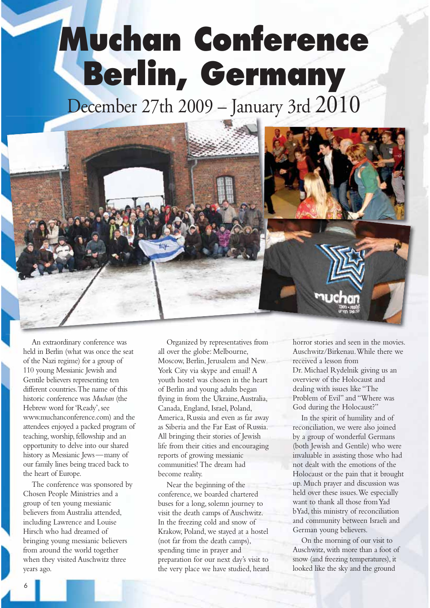## **Muchan Conference Berlin, Germany**

December 27th 2009 – January 3rd 2010



An extraordinary conference was held in Berlin (what was once the seat of the Nazi regime) for a group of 110 young Messianic Jewish and Gentile believers representing ten different countries. The name of this historic conference was *Muchan* (the Hebrew word for 'Ready', see www.muchanconference.com) and the attendees enjoyed a packed program of teaching, worship, fellowship and an opportunity to delve into our shared history as Messianic Jews —many of our family lines being traced back to the heart of Europe.

The conference was sponsored by Chosen People Ministries and a group of ten young messianic believers from Australia attended, including Lawrence and Louise Hirsch who had dreamed of bringing young messianic believers from around the world together when they visited Auschwitz three years ago.

Organized by representatives from all over the globe: Melbourne, Moscow, Berlin, Jerusalem and New York City via skype and email! A youth hostel was chosen in the heart of Berlin and young adults began flying in from the Ukraine, Australia, Canada, England, Israel, Poland, America, Russia and even as far away as Siberia and the Far East of Russia. All bringing their stories of Jewish life from their cities and encouraging reports of growing messianic communities! The dream had become reality.

Near the beginning of the conference, we boarded chartered buses for a long, solemn journey to visit the death camps of Auschwitz. In the freezing cold and snow of Krakow, Poland, we stayed at a hostel (not far from the death camps), spending time in prayer and preparation for our next day's visit to the very place we have studied, heard horror stories and seen in the movies. Auschwitz/Birkenau. While there we received a lesson from Dr. Michael Rydelnik giving us an overview of the Holocaust and dealing with issues like "The Problem of Evil" and "Where was God during the Holocaust?"

In the spirit of humility and of reconciliation, we were also joined by a group of wonderful Germans (both Jewish and Gentile) who were invaluable in assisting those who had not dealt with the emotions of the Holocaust or the pain that it brought up. Much prayer and discussion was held over these issues. We especially want to thank all those from Yad bYad, this ministry of reconciliation and community between Israeli and German young believers.

On the morning of our visit to Auschwitz, with more than a foot of snow (and freezing temperatures), it looked like the sky and the ground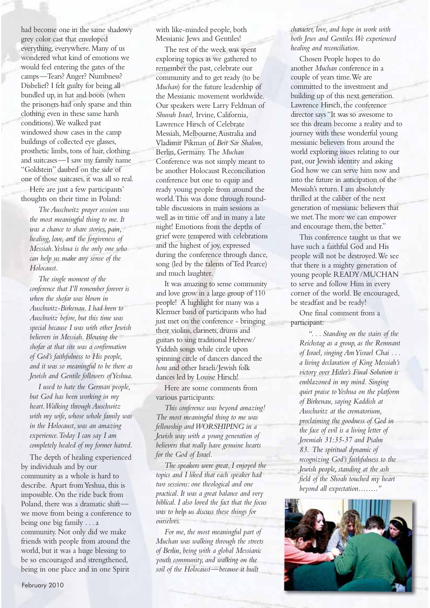had become one in the same shadowy grey color cast that enveloped everything, everywhere. Many of us wondered what kind of emotions we would feel entering the gates of the camps—Tears? Anger? Numbness? Disbelief? I felt guilty for being all bundled up, in hat and boots (when the prisoners had only sparse and thin clothing even in these same harsh conditions). We walked past windowed show cases in the camp buildings of collected eye glasses, prosthetic limbs, tons of hair, clothing and suitcases—I saw my family name "Goldstein" daubed on the side of one of those suitcases, it was all so real.

Here are just a few participants' thoughts on their time in Poland:

*The Auschwitz prayer session was the most meaningful thing to me. It was a chance to share stories, pain, healing, love, and the forgiveness of Messiah. Yeshua is the only one who can help us make any sense of the Holocaust.*

*The single moment of the conference that I'll remember forever is when the shofar was blown in Auschwitz-Birkenau. I had been to Auschwitz before, but this time was special because I was with other Jewish believers in Messiah. Blowing the shofar at that site was a confirmation of God's faithfulness to His people, and it was so meaningful to be there as Jewish and Gentile followers of Yeshua.*

*I used to hate the German people, but God has been working in my heart. Walking through Auschwitz with my wife, whose whole family was in the Holocaust, was an amazing experience. Today I can say I am completely healed of my former hatred.*

The depth of healing experienced by individuals and by our community as a whole is hard to describe. Apart from Yeshua, this is impossible. On the ride back from Poland, there was a dramatic shift we move from being a conference to being one big family . . . a community. Not only did we make friends with people from around the world, but it was a huge blessing to be so encouraged and strengthened, being in one place and in one Spirit

with like-minded people, both Messianic Jews and Gentiles!

The rest of the week was spent exploring topics as we gathered to remember the past, celebrate our community and to get ready (to be *Muchan*) for the future leadership of the Messianic movement worldwide. Our speakers were Larry Feldman of *Shuvah Israel,* Irvine, California, Lawrence Hirsch of Celebrate Messiah, Melbourne, Australia and Vladimir Pikman of *Beit Sar Shalom,*  Berlin, Germany. The *Muchan* Conference was not simply meant to be another Holocaust Reconciliation conference but one to equip and ready young people from around the world. This was done through roundtable discussions in main sessions as well as in time off and in many a late night! Emotions from the depths of grief were tempered with celebrations and the highest of joy, expressed during the conference through dance, song (led by the talents of Ted Pearce) and much laughter.

It was amazing to sense community and love grow in a large group of 110 people! A highlight for many was a Klezmer band of participants who had just met on the conference - bringing their violins, clarinets, drums and guitars to sing traditional Hebrew/ Yiddish songs while circle upon spinning circle of dancers danced the *hora* and other Israeli/Jewish folk dances led by Louise Hirsch!

Here are some comments from various participants:

*This conference was beyond amazing! The most meaningful thing to me was fellowship and WORSHIPING in a Jewish way with a young generation of believers that really have genuine hearts for the God of Israel.*

*The speakers were great. I enjoyed the topics and I liked that each speaker had two sessions: one theological and one practical. It was a great balance and very biblical. I also loved the fact that the focus was to help us discuss these things for ourselves.*

*For me, the most meaningful part of Muchan was walking through the streets of Berlin, being with a global Messianic youth community, and walking on the soil of the Holocaust—because it built* 

*character, love, and hope in work with both Jews and Gentiles. We experienced healing and reconciliation.*

Chosen People hopes to do another *Muchan* conference in a couple of years time. We are committed to the investment and building up of this next generation. Lawrence Hirsch, the conference director says "It was so awesome to see this dream become a reality and to journey with these wonderful young messianic believers from around the world exploring issues relating to our past, our Jewish identity and asking God how we can serve him now and into the future in anticipation of the Messiah's return. I am absolutely thrilled at the caliber of the next generation of messianic believers that we met. The more we can empower and encourage them, the better."

This conference taught us that we have such a faithful God and His people will not be destroyed. We see that there is a mighty generation of young people READY/MUCHAN to serve and follow Him in every corner of the world. Be encouraged, be steadfast and be ready!

One final comment from a participant:

*". . . Standing on the stairs of the Reichstag as a group, as the Remnant of Israel, singing Am Yisrael Chai . . . a living declaration of King Messiah's victory over Hitler's Final Solution is emblazoned in my mind. Singing quiet praise to Yeshua on the platform of Birkenau, saying Kaddish at Auschwitz at the crematorium, proclaiming the goodness of God in the face of evil is a living letter of Jeremiah 31:35-37 and Psalm 83. The spiritual dynamic of recognizing God's faithfulness to the Jewish people, standing at the ash field of the Shoah touched my heart beyond all expectation…….."*